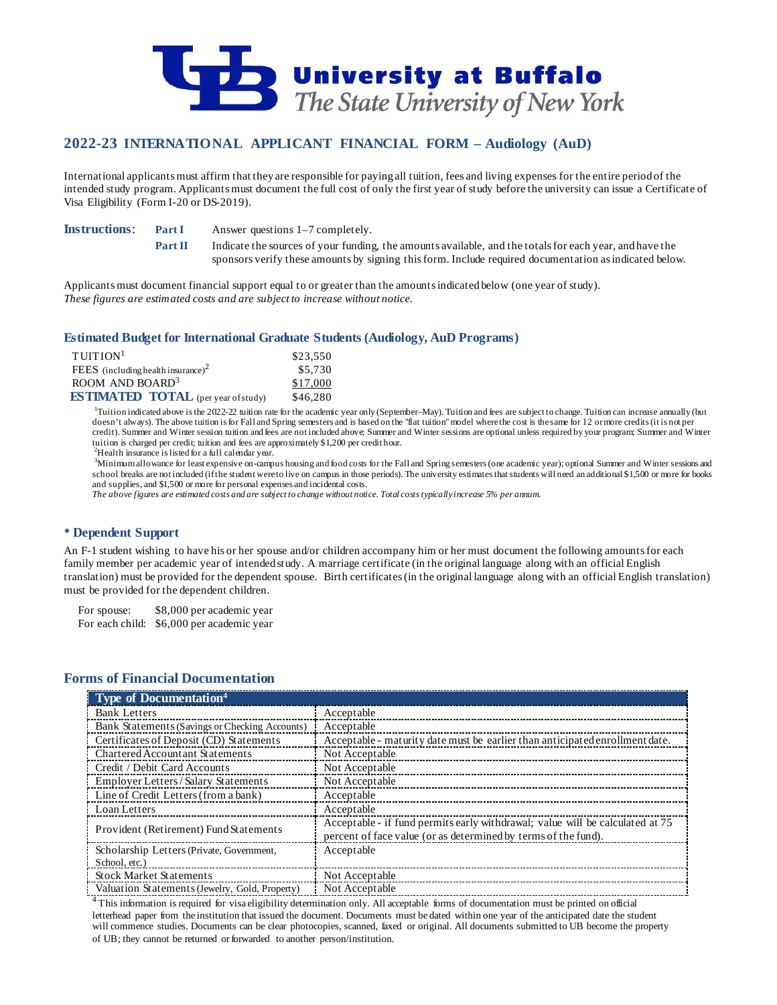

# **2022-23 INTERNATIONAL APPLICANT FINANCIAL FORM – Audiology (AuD)**

International applicants must affirm that they are responsible for paying all tuition, fees and living expenses for the entire period of the intended study program. Applicants must document the full cost of only the first year of study before the university can issue a Certificate of Visa Eligibility (Form I-20 or DS-2019).

**Instructions: Part I** Answer questions 1–7 completely.

**Part II** Indicate the sources of your funding, the amounts available, and the totals for each year, and have the sponsors verify these amounts by signing this form. Include required documentation as indicated below.

Applicants must document financial support equal to or greater than the amounts indicated below (one year of study). *These figures are estimated costs and are subject to increase without notice.*

### **Estimated Budget for International Graduate Students (Audiology, AuD Programs)**

| $T$ UITION <sup>1</sup>                    | \$23,550 |
|--------------------------------------------|----------|
| FEES (including health insurance) $2$      | \$5,730  |
| ROOM AND BOARD <sup>3</sup>                | \$17,000 |
| <b>ESTIMATED TOTAL</b> (per year of study) | \$46,280 |

<sup>1</sup>Tuition indicated above is the 2022-22 tuition rate for the academic year only (September–May). Tuition and fees are subject to change. Tuition can increase annually (but doesn't always). The above tuition is for Fall and Spring semesters and is based on the "flat tuition" model where the cost is the same for 12 or more credits (it is not per credit). Summer and Winter session tuition and fees are not included above; Summer and Winter sessions are optional unless required by your program; Summer and Winter tuition is charged per credit; tuition and fees are approximately \$1,200 per credit hour.

 $^{2}$ Health insurance is listed for a full calendar year.

3 Minimum allowance for least expensive on-campus housing and food costs for the Fall and Spring semesters (one academic year); optional Summer and Winter sessions and school breaks are not included (if the student were to live on campus in those periods). The university estimates that students will need an additional \$1,500 or more for books and supplies, and \$1,500 or more for personal expenses and incidental costs.

*The above figures are estimated costs and are subject to change without notice. Total costs typically increase 5% per annum.*

### **Dependent Support**

An F-1 student wishing to have his or her spouse and/or children accompany him or her must document the following amounts for each family member per academic year of intended study. A marriage certificate (in the original language along with an official English translation) must be provided for the dependent spouse. Birth certificates (in the original language along with an official English translation) must be provided for the dependent children.

For spouse: \$8,000 per academic year For each child: \$6,000 per academic year

### **Forms of Financial Documentation**

| Type of Documentation <sup>4</sup>             |                                                                                                                                                 |
|------------------------------------------------|-------------------------------------------------------------------------------------------------------------------------------------------------|
| <b>Bank Letters</b>                            | Acceptable                                                                                                                                      |
| Bank Statements (Savings or Checking Accounts) | Acceptable                                                                                                                                      |
| Certificates of Deposit (CD) Statements        | Acceptable - maturity date must be earlier than anticipated enrollment date.                                                                    |
| Chartered Accountant Statements                | Not Acceptable                                                                                                                                  |
| Credit / Debit Card Accounts                   | Not Acceptable                                                                                                                                  |
| <b>Employer Letters/Salary Statements</b>      | Not Acceptable                                                                                                                                  |
| Line of Credit Letters (from a bank)           | Acceptable                                                                                                                                      |
| Loan Letters                                   | Acceptable                                                                                                                                      |
| Provident (Retirement) Fund Statements         | Acceptable - if fund permits early withdrawal; value will be calculated at 75<br>percent of face value (or as determined by terms of the fund). |
| Scholarship Letters (Private, Government,      | Acceptable                                                                                                                                      |
| School, etc.)                                  |                                                                                                                                                 |
| <b>Stock Market Statements</b>                 | Not Acceptable                                                                                                                                  |
| Valuation Statements (Jewelry, Gold, Property) | Not Acceptable                                                                                                                                  |

<sup>4</sup>This information is required for visa eligibility determination only. All acceptable forms of documentation must be printed on official letterhead paper from the institution that issued the document. Documents must be dated within one year of the anticipated date the student will commence studies. Documents can be clear photocopies, scanned, faxed or original. All documents submitted to UB become the property of UB; they cannot be returned or forwarded to another person/institution.